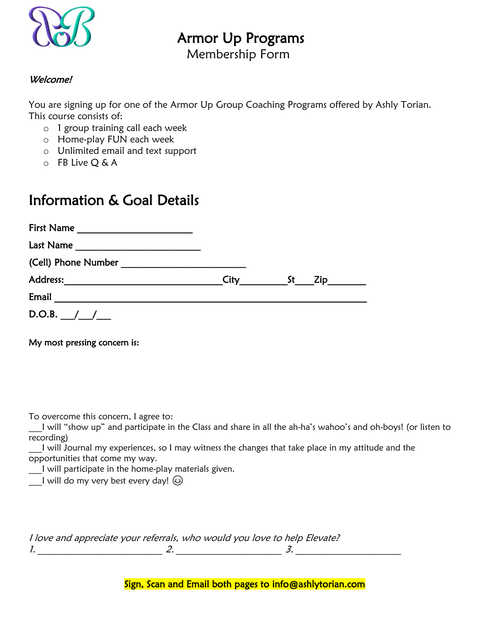

## Armor Up Programs

Membership Form

## Welcome!

You are signing up for one of the Armor Up Group Coaching Programs offered by Ashly Torian. This course consists of:

- o 1 group training call each week
- o Home-play FUN each week
- o Unlimited email and text support
- o FB Live Q & A

## Information & Goal Details

| <b>First Name</b>                                             |      |             |  |
|---------------------------------------------------------------|------|-------------|--|
| Last Name                                                     |      |             |  |
| (Cell) Phone Number                                           |      |             |  |
| Address:<br><u> Alban Alban (</u> 1985), a construction and a | City | - St<br>Zip |  |
| Email                                                         |      |             |  |
| D.O.B. $/$ /                                                  |      |             |  |

My most pressing concern is:

To overcome this concern, I agree to:

\_\_\_I will "show up" and participate in the Class and share in all the ah-ha's wahoo's and oh-boys! (or listen to recording)

I will Journal my experiences, so I may witness the changes that take place in my attitude and the opportunities that come my way.

\_\_\_I will participate in the home-play materials given.

l will do my very best every day!  $\circledS$ 

|  | I love and appreciate your referrals, who would you love to help Elevate? |  |
|--|---------------------------------------------------------------------------|--|
|  |                                                                           |  |

Sign, Scan and Email both pages to info@ashlytorian.com